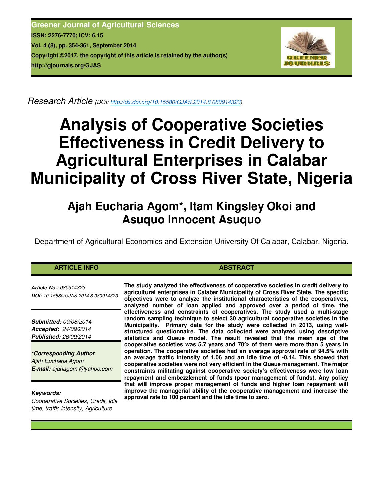**Greener Journal of Agricultural Sciences ISSN: 2276-7770; ICV: 6.15 Vol. 4 (8), pp. 354-361, September 2014 Copyright ©2017, the copyright of this article is retained by the author(s) http://gjournals.org/GJAS**



*Research Article (DOI: http://dx.doi.org/10.15580/GJAS.2014.8.080914323)*

# **Analysis of Cooperative Societies Effectiveness in Credit Delivery to Agricultural Enterprises in Calabar Municipality of Cross River State, Nigeria**

# **Ajah Eucharia Agom\*, Itam Kingsley Okoi and Asuquo Innocent Asuquo**

Department of Agricultural Economics and Extension University Of Calabar, Calabar, Nigeria.

# **ARTICLE INFO ABSTRACT ABSTRACT**

*Article No.: 080914323 DOI: 10.15580/GJAS.2014.8.080914323*

*Submitted: 09/08/2014 Accepted: 24/09/2014 Published: 26/09/2014*

*\*Corresponding Author Ajah Eucharia Agom E-mail: ajahagom @yahoo.com*

*Keywords:* 

*Cooperative Societies, Credit, Idle time, traffic intensity, Agriculture*

**The study analyzed the effectiveness of cooperative societies in credit delivery to agricultural enterprises in Calabar Municipality of Cross River State. The specific objectives were to analyze the institutional characteristics of the cooperatives, analyzed number of loan applied and approved over a period of time, the effectiveness and constraints of cooperatives. The study used a multi-stage random sampling technique to select 30 agricultural cooperative societies in the Municipality. Primary data for the study were collected in 2013, using wellstructured questionnaire. The data collected were analyzed using descriptive statistics and Queue model. The result revealed that the mean age of the cooperative societies was 5.7 years and 70% of them were more than 5 years in operation. The cooperative societies had an average approval rate of 94.5% with an average traffic intensity of 1.06 and an idle time of -0.14. This showed that cooperative societies were not very efficient in the Queue management. The major constraints militating against cooperative society's effectiveness were low loan repayment and embezzlement of funds (poor management of funds). Any policy that will improve proper management of funds and higher loan repayment will improve the managerial ability of the cooperative management and increase the approval rate to 100 percent and the idle time to zero.**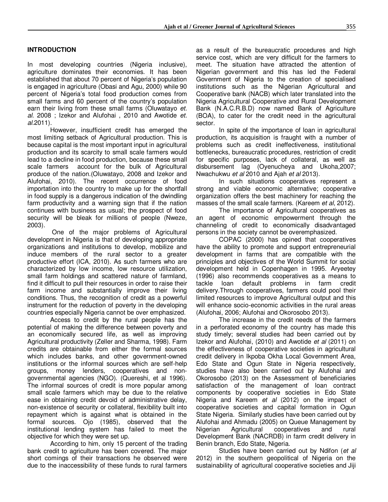# **INTRODUCTION**

In most developing countries (Nigeria inclusive), agriculture dominates their economies. It has been established that about 70 percent of Nigeria's population is engaged in agriculture (Obasi and Agu, 2000) while 90 percent of Nigeria's total food production comes from small farms and 60 percent of the country's population earn their living from these small farms (Oluwatayo *et. al.* 2008 ; Izekor and Alufohai , 2010 and Awotide *et. al.*2011).

However, insufficient credit has emerged the most limiting setback of Agricultural production. This is because capital is the most important input in agricultural production and its scarcity to small scale farmers would lead to a decline in food production, because these small scale farmers account for the bulk of Agricultural produce of the nation.(Oluwatayo, 2008 and Izekor and Alufohai, 2010). The recent occurrence of food importation into the country to make up for the shortfall in food supply is a dangerous indication of the dwindling farm productivity and a warning sign that if the nation continues with business as usual; the prospect of food security will be bleak for millions of people (Nweze, 2003).

 One of the major problems of Agricultural development in Nigeria is that of developing appropriate organizations and institutions to develop, mobilize and induce members of the rural sector to a greater productive effort (ICA, 2010). As such farmers who are characterized by low income, low resource utilization, small farm holdings and scattered nature of farmland, find it difficult to pull their resources in order to raise their farm income and substantially improve their living conditions. Thus, the recognition of credit as a powerful instrument for the reduction of poverty in the developing countries especially Nigeria cannot be over emphasized.

Access to credit by the rural people has the potential of making the difference between poverty and an economically secured life, as well as improving Agricultural productivity (Zeller and Sharma, 1998). Farm credits are obtainable from either the formal sources which includes banks, and other government-owned institutions or the informal sources which are self-help groups, money lenders, cooperatives and nongovernmental agencies (NGO). (Quereshi, et al 1996). The informal sources of credit is more popular among small scale farmers which may be due to the relative ease in obtaining credit devoid of administrative delay, non-existence of security or collateral, flexibility built into repayment which is against what is obtained in the formal sources. Ojo (1985), observed that the institutional lending system has failed to meet the objective for which they were set up.

According to him, only 15 percent of the trading bank credit to agriculture has been covered. The major short comings of their transactions he observed were due to the inaccessibility of these funds to rural farmers as a result of the bureaucratic procedures and high service cost, which are very difficult for the farmers to meet. The situation have attracted the attention of Nigerian government and this has led the Federal Government of Nigeria to the creation of specialised institutions such as the Nigerian Agricultural and Cooperative bank (NACB) which later translated into the Nigeria Agricultural Cooperative and Rural Development Bank (N.A.C.R.B.D) now named Bank of Agriculture (BOA), to cater for the credit need in the agricultural sector.

In spite of the importance of loan in agricultural production, its acquisition is fraught with a number of problems such as credit ineffectiveness, institutional bottlenecks, bureaucratic procedures, restriction of credit for specific purposes, lack of collateral, as well as disbursement lag (Oyenucheya and Ukoha,2007; Nwachukwu *et al* 2010 and Ajah *et al* 2013).

In such situations cooperatives represent a strong and viable economic alternative; cooperative organization offers the best machinery for reaching the masses of the small scale farmers. (Kareem *et al*, 2012).

The importance of Agricultural cooperatives as an agent of economic empowerment through the channeling of credit to economically disadvantaged persons in the society cannot be overemphasized.

COPAC (2000) has opined that cooperatives have the ability to promote and support entrepreneurial development in farms that are compatible with the principles and objectives of the World Summit for social development held in Copenhagen in 1995. Aryeetey (1996) also recommends cooperatives as a means to tackle loan default problems in farm credit delivery.Through cooperatives, farmers could pool their limited resources to improve Agricultural output and this will enhance socio-economic activities in the rural areas (Alufohai, 2006; Alufohai and Okorosobo 2013).

The increase in the credit needs of the farmers in a perforated economy of the country has made this study timely; several studies had been carried out by Izekor and Alufohai, (2010) and Awotide *et al* (2011) on the effectiveness of cooperative societies in agricultural credit delivery in Ikpoba Okha Local Government Area, Edo State and Ogun State in Nigeria respectively, studies have also been carried out by Alufohai and Okorosobo (2013) on the Assessment of beneficiaries satisfaction of the management of loan contract components by cooperative societies in Edo State Nigeria and Kareem *et al* (2012) on the impact of cooperative societies and capital formation in Ogun State Nigeria. Similarly studies have been carried out by Alufohai and Ahmadu (2005) on Queue Management by Nigerian Agricultural cooperatives and rural Development Bank (NACRDB) in farm credit delivery in Benin branch, Edo State, Nigeria.

 Studies have been carried out by Ndifon (*et al* 2012) in the southern geopolitical of Nigeria on the sustainability of agricultural cooperative societies and Jiji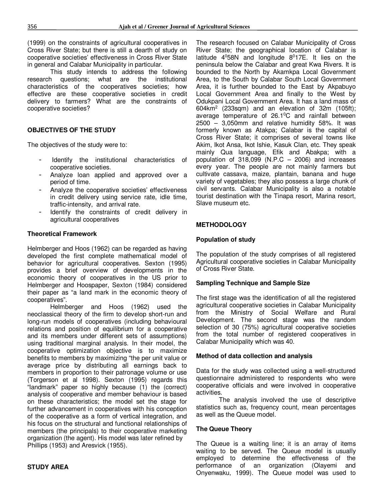(1999) on the constraints of agricultural cooperatives in Cross River State; but there is still a dearth of study on cooperative societies' effectiveness in Cross River State in general and Calabar Municipality in particular.

This study intends to address the following research questions; what are the institutional characteristics of the cooperatives societies; how effective are these cooperative societies in credit delivery to farmers? What are the constraints of cooperative societies?

# **OBJECTIVES OF THE STUDY**

The objectives of the study were to:

- Identify the institutional characteristics of cooperative societies.
- Analyze loan applied and approved over a period of time.
- Analyze the cooperative societies' effectiveness in credit delivery using service rate, idle time, traffic-intensity, and arrival rate.
- Identify the constraints of credit delivery in agricultural cooperatives

#### **Theoretical Framework**

Helmberger and Hoos (1962) can be regarded as having developed the first complete mathematical model of behavior for agricultural cooperatives. Sexton (1995) provides a brief overview of developments in the economic theory of cooperatives in the US prior to Helmberger and Hoospaper, Sexton (1984) considered their paper as "a land mark in the economic theory of cooperatives".

Helmberger and Hoos (1962) used the neoclassical theory of the firm to develop short-run and long-run models of cooperatives (including behavioural relations and position of equilibrium for a cooperative and its members under different sets of assumptions) using traditional marginal analysis. In their model, the cooperative optimization objective is to maximize benefits to members by maximizing "the per unit value or average price by distributing all earnings back to members in proportion to their patronage volume or use (Torgerson et al 1998). Sexton (1995) regards this "landmark" paper so highly because (1) the (correct) analysis of cooperative and member behaviour is based on these characteristics; the model set the stage for further advancement in cooperatives with his conception of the cooperative as a form of vertical integration, and his focus on the structural and functional relationships of members (the principals) to their cooperative marketing organization (the agent). His model was later refined by Phillips (1953) and Aresvick (1955).

# **STUDY AREA**

The research focused on Calabar Municipality of Cross River State; the geographical location of Calabar is latitude  $4^0$ 58N and longitude  $8^0$ 17E. It lies on the peninsula below the Calabar and great Kwa Rivers. It is bounded to the North by Akamkpa Local Government Area, to the South by Calabar South Local Government Area, it is further bounded to the East by Akpabuyo Local Government Area and finally to the West by Odukpani Local Government Area. It has a land mass of  $604 \text{km}^2$  (233sqm) and an elevation of 32m (105ft); average temperature of 26.1<sup>o</sup>C and rainfall between 2500 – 3,050mm and relative humidity 58%. It was formerly known as Atakpa; Calabar is the capital of Cross River State; it comprises of several towns like Akim, Ikot Ansa, Ikot Ishie, Kasuk Clan, etc. They speak mainly Qua language, Efik and Abakpa; with a population of 318,099 (N.P.C – 2006) and increases every year. The people are not mainly farmers but cultivate cassava, maize, plantain, banana and huge variety of vegetables; they also possess a large chunk of civil servants. Calabar Municipality is also a notable tourist destination with the Tinapa resort, Marina resort, Slave museum etc.

# **METHODOLOGY**

#### **Population of study**

The population of the study comprises of all registered Agricultural cooperative societies in Calabar Municipality of Cross River State.

#### **Sampling Technique and Sample Size**

The first stage was the identification of all the registered agricultural cooperative societies in Calabar Municipality from the Ministry of Social Welfare and Rural Development. The second stage was the random selection of 30 (75%) agricultural cooperative societies from the total number of registered cooperatives in Calabar Municipality which was 40.

#### **Method of data collection and analysis**

Data for the study was collected using a well-structured questionnaire administered to respondents who were cooperative officials and were involved in cooperative activities.

The analysis involved the use of descriptive statistics such as, frequency count, mean percentages as well as the Queue model.

#### **The Queue Theory**

The Queue is a waiting line; it is an array of items waiting to be served. The Queue model is usually employed to determine the effectiveness of the performance of an organization (Olayemi and Onyenwaku, 1999). The Queue model was used to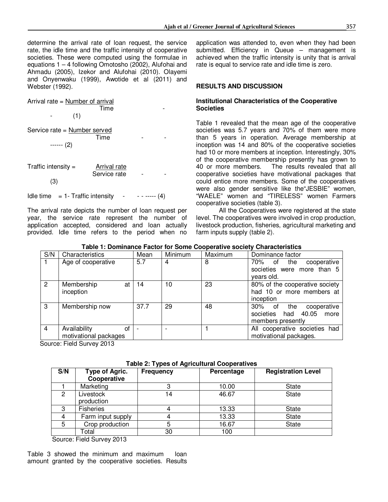determine the arrival rate of loan request, the service rate, the idle time and the traffic intensity of cooperative societies. These were computed using the formulae in equations 1 – 4 following Omotosho (2002), Alufohai and Ahmadu (2005), Izekor and Alufohai (2010). Olayemi and Onyenwaku (1999), Awotide et al (2011) and Webster (1992).

Arrival rate = Number of arrival **Time the set of the ST**ime of the STIME of the STIME of the STIME of the STIME of the STIME of the STIME of the STIME of the STIME of the STIME of the STIME of the STIME of the STIME of the STIME of the STIME of the STIME  $(1)$ Service rate = Number served the state of the state of  $\mathsf{Time}$  . The state of  $\mathsf{F}$  ------ (2) Traffic intensity  $=$  Arrival rate Service rate (3) Idle time  $= 1$ - Traffic intensity - - - - - - (4)

The arrival rate depicts the number of loan request per year, the service rate represent the number of application accepted, considered and loan actually provided. Idle time refers to the period when no

application was attended to, even when they had been submitted. Efficiency in Queue – management is achieved when the traffic intensity is unity that is arrival rate is equal to service rate and idle time is zero.

# **RESULTS AND DISCUSSION**

#### **Institutional Characteristics of the Cooperative Societies**

Table 1 revealed that the mean age of the cooperative societies was 5.7 years and 70% of them were more than 5 years in operation. Average membership at inception was 14 and 80% of the cooperative societies had 10 or more members at inception. Interestingly, 30% of the cooperative membership presently has grown to 40 or more members. The results revealed that all cooperative societies have motivational packages that could entice more members. Some of the cooperatives were also gender sensitive like the"JESBIE" women, "WAELE" women and "TIRELESS" women Farmers cooperative societies (table 3).

All the Cooperatives were registered at the state level. The cooperatives were involved in crop production, livestock production, fisheries, agricultural marketing and farm inputs supply (table 2).

| Table 1: Dominance Factor for Some Cooperative society Characteristics |  |  |
|------------------------------------------------------------------------|--|--|
|                                                                        |  |  |

| S/N            | Characteristics                             | Mean | Minimum | Maximum | Dominance factor                                                              |
|----------------|---------------------------------------------|------|---------|---------|-------------------------------------------------------------------------------|
| $\mathbf{1}$   | Age of cooperative                          | 5.7  | 4       | 8       | cooperative<br>70% of the<br>societies were more than 5<br>years old.         |
| $\overline{2}$ | Membership<br>at<br>inception               | 14   | 10      | 23      | 80% of the cooperative society<br>had 10 or more members at<br>inception      |
| $\mathbf{3}$   | Membership now                              | 37.7 | 29      | 48      | 30% of the<br>cooperative<br>societies had 40.05<br>more<br>members presently |
| $\overline{4}$ | Availability<br>Οf<br>motivational packages |      |         |         | All cooperative societies had<br>motivational packages.                       |

Source: Field Survey 2013

|  |  |  | Table 2: Types of Agricultural Cooperatives |
|--|--|--|---------------------------------------------|
|--|--|--|---------------------------------------------|

| S/N | <b>Type of Agric.</b><br>Cooperative | <b>Frequency</b> | Percentage | <b>Registration Level</b> |
|-----|--------------------------------------|------------------|------------|---------------------------|
|     | Marketing                            |                  | 10.00      | <b>State</b>              |
| 2   | Livestock<br>production              | 14               | 46.67      | <b>State</b>              |
| 3   | <b>Fisheries</b>                     |                  | 13.33      | <b>State</b>              |
| 4   | Farm input supply                    |                  | 13.33      | <b>State</b>              |
| 5   | Crop production                      |                  | 16.67      | <b>State</b>              |
|     | Гоtal                                | 30               | 100        |                           |

Source: Field Survey 2013

Table 3 showed the minimum and maximum loan amount granted by the cooperative societies. Results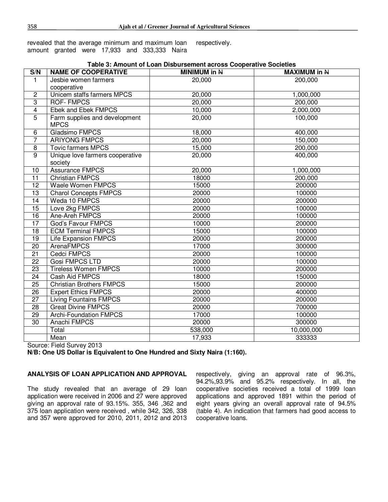revealed that the average minimum and maximum loan amount granted were 17,933 and 333,333 Naira respectively.

| S/N             | <b>NAME OF COOPERATIVE</b>      | Table 3. Allioditt of Edall Disputsement actuss Cooperative Societies<br><b>MINIMUM in N</b> | <b>MAXIMUM in N</b> |
|-----------------|---------------------------------|----------------------------------------------------------------------------------------------|---------------------|
| 1               | Jesbie women farmers            | 20,000                                                                                       | 200,000             |
|                 | cooperative                     |                                                                                              |                     |
| $\overline{2}$  | Unicem staffs farmers MPCS      | 20,000                                                                                       | 1,000,000           |
| $\overline{3}$  | <b>ROF-FMPCS</b>                | 20,000                                                                                       | 200,000             |
| $\overline{4}$  | Ebek and Ebek FMPCS             | 10,000                                                                                       | 2,000,000           |
| $\overline{5}$  | Farm supplies and development   | 20,000                                                                                       | 100,000             |
|                 | <b>MPCS</b>                     |                                                                                              |                     |
| 6               | Gladsimo FMPCS                  | 18,000                                                                                       | 400,000             |
| $\overline{7}$  | <b>ARIYONG FMPCS</b>            | 20,000                                                                                       | 150,000             |
| 8               | <b>Tovic farmers MPCS</b>       | 15,000                                                                                       | 200,000             |
| 9               | Unique love farmers cooperative | 20,000                                                                                       | 400,000             |
|                 | society                         |                                                                                              |                     |
| 10              | <b>Assurance FMPCS</b>          | 20,000                                                                                       | 1,000,000           |
| 11              | <b>Christian FMPCS</b>          | 18000                                                                                        | 200,000             |
| $\overline{12}$ | <b>Waele Women FMPCS</b>        | 15000                                                                                        | 200000              |
| 13              | <b>Charol Concepts FMPCS</b>    | 20000                                                                                        | 100000              |
| 14              | Weda 10 FMPCS                   | 20000                                                                                        | 200000              |
| 15              | Love 2kg FMPCS                  | 20000                                                                                        | 100000              |
| 16              | Ane-Areh FMPCS                  | 20000                                                                                        | 100000              |
| $\overline{17}$ | God's Favour FMPCS              | 10000                                                                                        | 200000              |
| $\overline{18}$ | <b>ECM Terminal FMPCS</b>       | 15000                                                                                        | 100000              |
| 19              | <b>Life Expansion FMPCS</b>     | 20000                                                                                        | 200000              |
| 20              | <b>ArenaFMPCS</b>               | 17000                                                                                        | 300000              |
| 21              | <b>Cedci FMPCS</b>              | 20000                                                                                        | 100000              |
| 22              | <b>Gosi FMPCS LTD</b>           | 20000                                                                                        | 100000              |
| $\overline{23}$ | <b>Tireless Women FMPCS</b>     | 10000                                                                                        | 200000              |
| $\overline{24}$ | <b>Cash Aid FMPCS</b>           | 18000                                                                                        | 150000              |
| $\overline{25}$ | <b>Christian Brothers FMPCS</b> | 15000                                                                                        | 200000              |
| $\overline{26}$ | <b>Expert Ethics FMPCS</b>      | 20000                                                                                        | 400000              |
| $\overline{27}$ | <b>Living Fountains FMPCS</b>   | 20000                                                                                        | 200000              |
| 28              | <b>Great Divine FMPCS</b>       | 20000                                                                                        | 700000              |
| 29              | <b>Archi-Foundation FMPCS</b>   | 17000                                                                                        | 100000              |
| 30              | Anachi FMPCS                    | 20000                                                                                        | 300000              |
|                 | Total                           | 538,000                                                                                      | 10,000,000          |
|                 | Mean                            | 17,933                                                                                       | 333333              |

# **Table 3: Amount of Loan Disbursement across Cooperative Societies**

Source: Field Survey 2013

**N/B: One US Dollar is Equivalent to One Hundred and Sixty Naira (1:160).** 

#### **ANALYSIS OF LOAN APPLICATION AND APPROVAL**

The study revealed that an average of 29 loan application were received in 2006 and 27 were approved giving an approval rate of 93.15%. 355, 346 ,362 and 375 loan application were received , while 342, 326, 338 and 357 were approved for 2010, 2011, 2012 and 2013 respectively, giving an approval rate of 96.3%, 94.2%,93.9% and 95.2% respectively. In all, the cooperative societies received a total of 1999 loan applications and approved 1891 within the period of eight years giving an overall approval rate of 94.5% (table 4). An indication that farmers had good access to cooperative loans.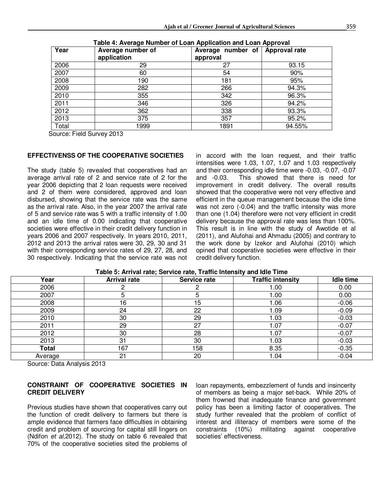| Year  | Average number of<br>application | Average number of<br>approval | <b>Approval rate</b> |
|-------|----------------------------------|-------------------------------|----------------------|
| 2006  | 29                               | 27                            | 93.15                |
| 2007  | 60                               | 54                            | 90%                  |
| 2008  | 190                              | 181                           | 95%                  |
| 2009  | 282                              | 266                           | 94.3%                |
| 2010  | 355                              | 342                           | 96.3%                |
| 2011  | 346                              | 326                           | 94.2%                |
| 2012  | 362                              | 338                           | 93.3%                |
| 2013  | 375                              | 357                           | 95.2%                |
| Total | 1999                             | 1891                          | 94.55%               |

| Table 4: Average Number of Loan Application and Loan Approval |
|---------------------------------------------------------------|
|                                                               |

Source: Field Survey 2013

#### **EFFECTIVENSS OF THE COOPERATIVE SOCIETIES**

The study (table 5) revealed that cooperatives had an average arrival rate of 2 and service rate of 2 for the year 2006 depicting that 2 loan requests were received and 2 of them were considered, approved and loan disbursed, showing that the service rate was the same as the arrival rate. Also, in the year 2007 the arrival rate of 5 and service rate was 5 with a traffic intensity of 1.00 and an idle time of 0.00 indicating that cooperative societies were effective in their credit delivery function in years 2006 and 2007 respectively. In years 2010, 2011, 2012 and 2013 the arrival rates were 30, 29, 30 and 31 with their corresponding service rates of 29, 27, 28, and 30 respectively. Indicating that the service rate was not in accord with the loan request, and their traffic intensities were 1.03, 1.07, 1.07 and 1.03 respectively and their corresponding idle time were -0.03, -0.07, -0.07 and -0.03. This showed that there is need for improvement in credit delivery. The overall results showed that the cooperative were not very effective and efficient in the queue management because the idle time was not zero (-0.04) and the traffic intensity was more than one (1.04) therefore were not very efficient in credit delivery because the approval rate was less than 100%. This result is in line with the study of Awotide et al (2011), and Alufohai and Ahmadu (2005) and contrary to the work done by Izekor and Alufohai (2010) which opined that cooperative societies were effective in their credit delivery function.

| Year         | <b>Arrival rate</b> | Service rate | <b>Traffic intensity</b> | <b>Idle time</b> |
|--------------|---------------------|--------------|--------------------------|------------------|
| 2006         |                     |              | 1.00                     | 0.00             |
| 2007         |                     | э            | 1.00                     | 0.00             |
| 2008         | 16                  | 15           | 1.06                     | $-0.06$          |
| 2009         | 24                  | 22           | 1.09                     | $-0.09$          |
| 2010         | 30                  | 29           | 1.03                     | $-0.03$          |
| 2011         | 29                  | 27           | 1.07                     | $-0.07$          |
| 2012         | 30                  | 28           | .07                      | $-0.07$          |
| 2013         | 31                  | 30           | 1.03                     | $-0.03$          |
| <b>Total</b> | 167                 | 158          | 8.35                     | $-0.35$          |
| Average      | 21                  | 20           | 1.04                     | $-0.04$          |

#### **Table 5: Arrival rate; Service rate, Traffic Intensity and Idle Time**

Source: Data Analysis 2013

#### **CONSTRAINT OF COOPERATIVE SOCIETIES IN CREDIT DELIVERY**

Previous studies have shown that cooperatives carry out the function of credit delivery to farmers but there is ample evidence that farmers face difficulties in obtaining credit and problem of sourcing for capital still lingers on (Ndifon *et al,*2012). The study on table 6 revealed that 70% of the cooperative societies sited the problems of

loan repayments, embezzlement of funds and insincerity of members as being a major set-back. While 20% of them frowned that inadequate finance and government policy has been a limiting factor of cooperatives. The study further revealed that the problem of conflict of interest and illiteracy of members were some of the constraints (10%) militating against cooperative societies' effectiveness.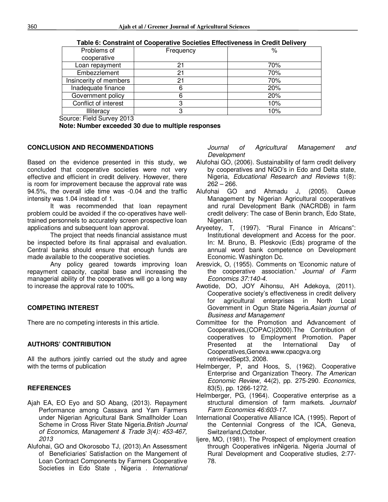| Problems of            | Frequency | ℅   |
|------------------------|-----------|-----|
| cooperative            |           |     |
| Loan repayment         | 21        | 70% |
| Embezzlement           | 21        | 70% |
| Insincerity of members | 21        | 70% |
| Inadequate finance     | 6         | 20% |
| Government policy      | 6         | 20% |
| Conflict of interest   | 3         | 10% |
| Illiteracy             | 3         | 10% |

**Table 6: Constraint of Cooperative Societies Effectiveness in Credit Delivery** 

Source: Field Survey 2013

**Note: Number exceeded 30 due to multiple responses** 

#### **CONCLUSION AND RECOMMENDATIONS**

Based on the evidence presented in this study, we concluded that cooperative societies were not very effective and efficient in credit delivery. However, there is room for improvement because the approval rate was 94.5%, the overall idle time was -0.04 and the traffic intensity was 1.04 instead of 1.

It was recommended that loan repayment problem could be avoided if the co-operatives have welltrained personnels to accurately screen prospective loan applications and subsequent loan approval.

The project that needs financial assistance must be inspected before its final appraisal and evaluation. Central banks should ensure that enough funds are made available to the cooperative societies.

Any policy geared towards improving loan repayment capacity, capital base and increasing the managerial ability of the cooperatives will go a long way to increase the approval rate to 100%.

# **COMPETING INTEREST**

There are no competing interests in this article.

# **AUTHORS' CONTRIBUTION**

All the authors jointly carried out the study and agree with the terms of publication

# **REFERENCES**

- Ajah EA, EO Eyo and SO Abang, (2013). Repayment Performance among Cassava and Yam Farmers under Nigerian Agricultural Bank Smallholder Loan Scheme in Cross River State Nigeria.*British Journal of Economics, Management & Trade 3(4): 453-467, 2013*
- Alufohai, GO and Okorosobo TJ, (2013).An Assessment of Beneficiaries' Satisfaction on the Mangement of Loan Contract Components by Farmers Cooperative Societies in Edo State , Nigeria . *International*

*Journal of Agricultural Management and Development* 

- Alufohai GO, (2006). Sustainability of farm credit delivery by cooperatives and NGO's in Edo and Delta state, Nigeria, *Educational Research and Reviews* 1(8): 262 – 266.<br>Alufohai GO
- and Ahmadu J, (2005). Queue Management by Nigerian Agricultural cooperatives and rural Development Bank (NACRDB) in farm credit delivery: The case of Benin branch, Edo State, Nigerian.
- Aryeetey, T, (1997). "Rural Finance in Africans": Institutional development and Access for the poor. In: M. Bruno, B. Pleskovic (Eds) programe of the annual word bank competence on Development Economic. Washington Dc.
- Aresvick, O, (1955). Comments on 'Economic nature of the cooperative association.' *Journal of Farm Economics 37:140-4.*
- Awotide, DO, JOY Aihonsu, AH Adekoya, (2011). Cooperative society's effectiveness in credit delivery for agricultural enterprises in North Local Government in Ogun State Nigeria.*Asian journal of Business and Management*
- Committee for the Promotion and Advancement of Cooperatives,(COPAC)(2000).The Contribution of cooperatives to Employment Promotion. Paper Presented at the International Day of Cooperatives,Geneva.www.cpacgva.org retrievedSept3, 2008.
- Helmberger, P, and Hoos, S, (1962). Cooperative Enterprise and Organization Theory. *The American Economic Review*, 44(2), pp. 275-290. *Economics*, 83(5), pp. 1266-1272.
- HeImberger, PG, (1964). Cooperative enterprise as a structural dimension of farm markets. *Journalof Farm Economics 46:603-17.*
- International Cooperative Alliance ICA, (1995). Report of the Centennial Congress of the ICA, Geneva, Switzerland,October.
- Ijere, MO, (1981). The Prospect of employment creation through Cooperatives inNigeria. Nigeria Journal of Rural Development and Cooperative studies, 2:77- 78.